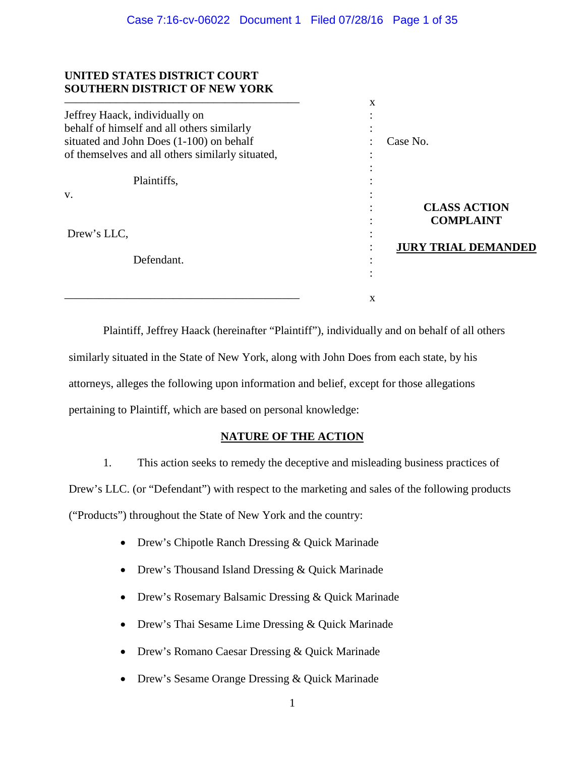## **UNITED STATES DISTRICT COURT SOUTHERN DISTRICT OF NEW YORK**

|                                                  | X                                       |
|--------------------------------------------------|-----------------------------------------|
| Jeffrey Haack, individually on                   |                                         |
| behalf of himself and all others similarly       | $\bullet$                               |
| situated and John Does (1-100) on behalf         | Case No.                                |
| of themselves and all others similarly situated, |                                         |
|                                                  |                                         |
| Plaintiffs,                                      |                                         |
| v.                                               |                                         |
|                                                  | <b>CLASS ACTION</b><br><b>COMPLAINT</b> |
| Drew's LLC,                                      |                                         |
|                                                  | <b>JURY TRIAL DEMANDED</b><br>٠         |
| Defendant.                                       |                                         |
|                                                  |                                         |
|                                                  |                                         |
|                                                  | $\mathbf{x}$                            |

Plaintiff, Jeffrey Haack (hereinafter "Plaintiff"), individually and on behalf of all others similarly situated in the State of New York, along with John Does from each state, by his attorneys, alleges the following upon information and belief, except for those allegations pertaining to Plaintiff, which are based on personal knowledge:

# **NATURE OF THE ACTION**

1. This action seeks to remedy the deceptive and misleading business practices of

Drew's LLC. (or "Defendant") with respect to the marketing and sales of the following products ("Products") throughout the State of New York and the country:

- Drew's Chipotle Ranch Dressing & Quick Marinade
- Drew's Thousand Island Dressing & Quick Marinade
- Drew's Rosemary Balsamic Dressing & Quick Marinade
- Drew's Thai Sesame Lime Dressing & Quick Marinade
- Drew's Romano Caesar Dressing & Quick Marinade
- Drew's Sesame Orange Dressing & Quick Marinade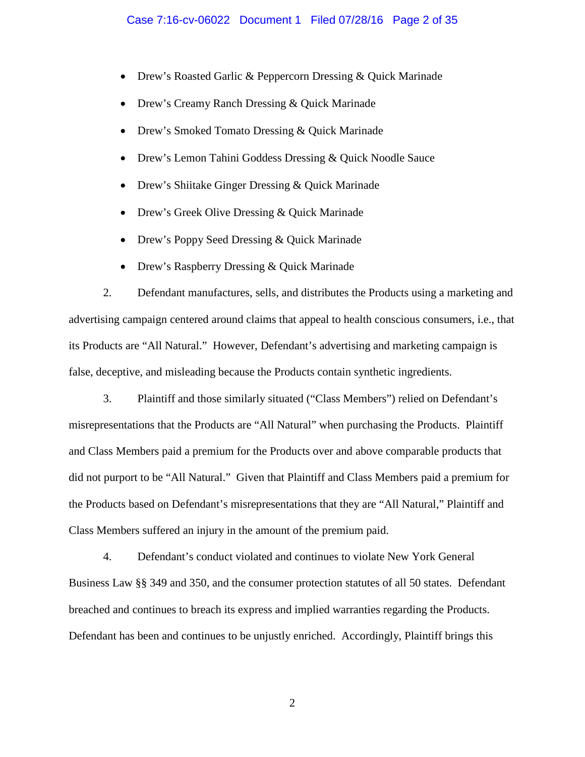- Drew's Roasted Garlic & Peppercorn Dressing & Quick Marinade
- Drew's Creamy Ranch Dressing & Quick Marinade
- Drew's Smoked Tomato Dressing & Quick Marinade
- Drew's Lemon Tahini Goddess Dressing & Quick Noodle Sauce
- Drew's Shiitake Ginger Dressing & Quick Marinade
- Drew's Greek Olive Dressing & Quick Marinade
- Drew's Poppy Seed Dressing & Quick Marinade
- Drew's Raspberry Dressing & Quick Marinade

2. Defendant manufactures, sells, and distributes the Products using a marketing and advertising campaign centered around claims that appeal to health conscious consumers, i.e., that its Products are "All Natural." However, Defendant's advertising and marketing campaign is false, deceptive, and misleading because the Products contain synthetic ingredients.

3. Plaintiff and those similarly situated ("Class Members") relied on Defendant's misrepresentations that the Products are "All Natural" when purchasing the Products. Plaintiff and Class Members paid a premium for the Products over and above comparable products that did not purport to be "All Natural." Given that Plaintiff and Class Members paid a premium for the Products based on Defendant's misrepresentations that they are "All Natural," Plaintiff and Class Members suffered an injury in the amount of the premium paid.

4. Defendant's conduct violated and continues to violate New York General Business Law §§ 349 and 350, and the consumer protection statutes of all 50 states. Defendant breached and continues to breach its express and implied warranties regarding the Products. Defendant has been and continues to be unjustly enriched. Accordingly, Plaintiff brings this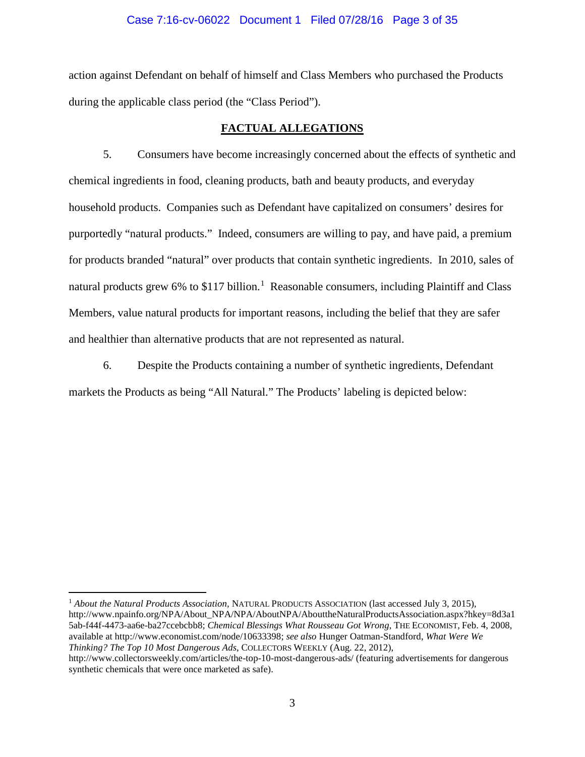#### Case 7:16-cv-06022 Document 1 Filed 07/28/16 Page 3 of 35

action against Defendant on behalf of himself and Class Members who purchased the Products during the applicable class period (the "Class Period").

## **FACTUAL ALLEGATIONS**

5. Consumers have become increasingly concerned about the effects of synthetic and chemical ingredients in food, cleaning products, bath and beauty products, and everyday household products. Companies such as Defendant have capitalized on consumers' desires for purportedly "natural products." Indeed, consumers are willing to pay, and have paid, a premium for products branded "natural" over products that contain synthetic ingredients. In 2010, sales of natural products grew 6% to \$[1](#page-2-0)17 billion.<sup>1</sup> Reasonable consumers, including Plaintiff and Class Members, value natural products for important reasons, including the belief that they are safer and healthier than alternative products that are not represented as natural.

6. Despite the Products containing a number of synthetic ingredients, Defendant markets the Products as being "All Natural." The Products' labeling is depicted below:

<span id="page-2-0"></span> <sup>1</sup> *About the Natural Products Association,* NATURAL PRODUCTS ASSOCIATION (last accessed July 3, 2015), http://www.npainfo.org/NPA/About\_NPA/NPA/AboutNPA/AbouttheNaturalProductsAssociation.aspx?hkey=8d3a1 5ab-f44f-4473-aa6e-ba27ccebcbb8; *Chemical Blessings What Rousseau Got Wrong*, THE ECONOMIST, Feb. 4, 2008, available at http://www.economist.com/node/10633398; *see also* Hunger Oatman-Standford, *What Were We Thinking? The Top 10 Most Dangerous Ads*, COLLECTORS WEEKLY (Aug. 22, 2012), http://www.collectorsweekly.com/articles/the-top-10-most-dangerous-ads/ (featuring advertisements for dangerous

synthetic chemicals that were once marketed as safe).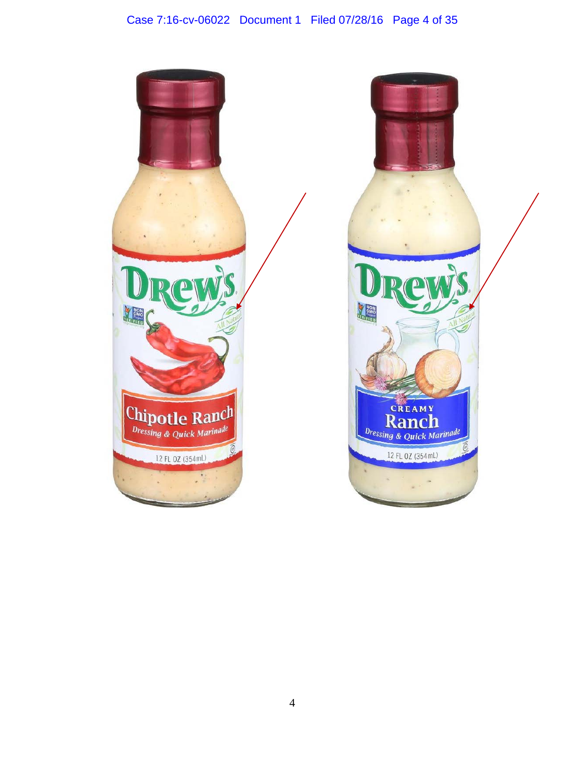# Case 7:16-cv-06022 Document 1 Filed 07/28/16 Page 4 of 35

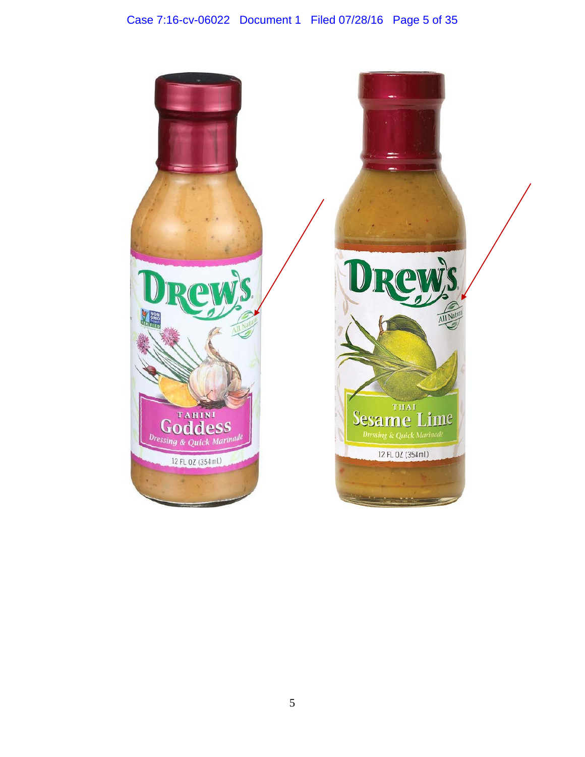# Case 7:16-cv-06022 Document 1 Filed 07/28/16 Page 5 of 35

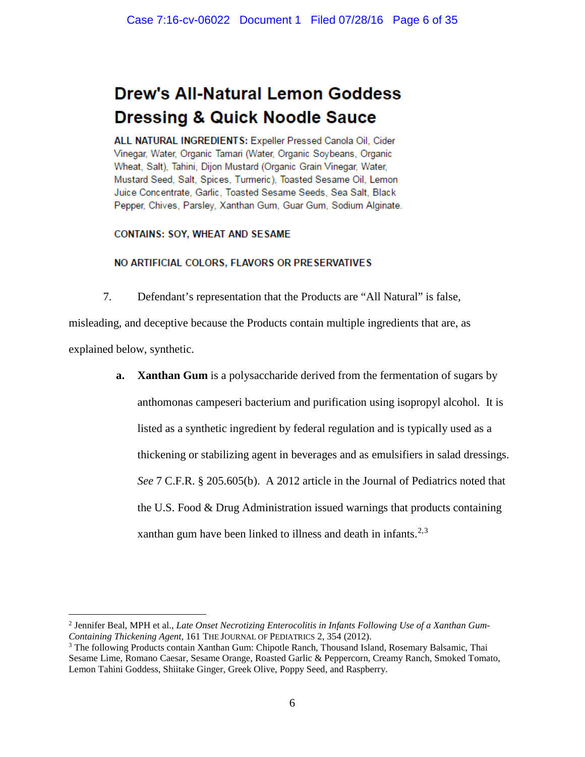# **Drew's All-Natural Lemon Goddess Dressing & Quick Noodle Sauce**

ALL NATURAL INGREDIENTS: Expeller Pressed Canola Oil, Cider Vinegar, Water, Organic Tamari (Water, Organic Soybeans, Organic Wheat, Salt), Tahini, Dijon Mustard (Organic Grain Vinegar, Water, Mustard Seed, Salt, Spices, Turmeric), Toasted Sesame Oil, Lemon Juice Concentrate, Garlic, Toasted Sesame Seeds, Sea Salt, Black Pepper, Chives, Parsley, Xanthan Gum, Guar Gum, Sodium Alginate.

# **CONTAINS: SOY, WHEAT AND SESAME**

# NO ARTIFICIAL COLORS, FLAVORS OR PRESERVATIVES

7. Defendant's representation that the Products are "All Natural" is false,

misleading, and deceptive because the Products contain multiple ingredients that are, as explained below, synthetic.

> **a. Xanthan Gum** is a polysaccharide derived from the fermentation of sugars by anthomonas campeseri bacterium and purification using isopropyl alcohol. It is listed as a synthetic ingredient by federal regulation and is typically used as a thickening or stabilizing agent in beverages and as emulsifiers in salad dressings. *See* 7 C.F.R. § 205.605(b). A 2012 article in the Journal of Pediatrics noted that the U.S. Food & Drug Administration issued warnings that products containing xanthan gum have been linked to illness and death in infants.<sup>[2,](#page-5-0)[3](#page-5-1)</sup>

<span id="page-5-0"></span> <sup>2</sup> Jennifer Beal, MPH et al., *Late Onset Necrotizing Enterocolitis in Infants Following Use of a Xanthan Gum-Containing Thickening Agent*, 161 THE JOURNAL OF PEDIATRICS 2, 354 (2012).

<span id="page-5-1"></span><sup>&</sup>lt;sup>3</sup> The following Products contain Xanthan Gum: Chipotle Ranch, Thousand Island, Rosemary Balsamic, Thai Sesame Lime, Romano Caesar, Sesame Orange, Roasted Garlic & Peppercorn, Creamy Ranch, Smoked Tomato, Lemon Tahini Goddess, Shiitake Ginger, Greek Olive, Poppy Seed, and Raspberry.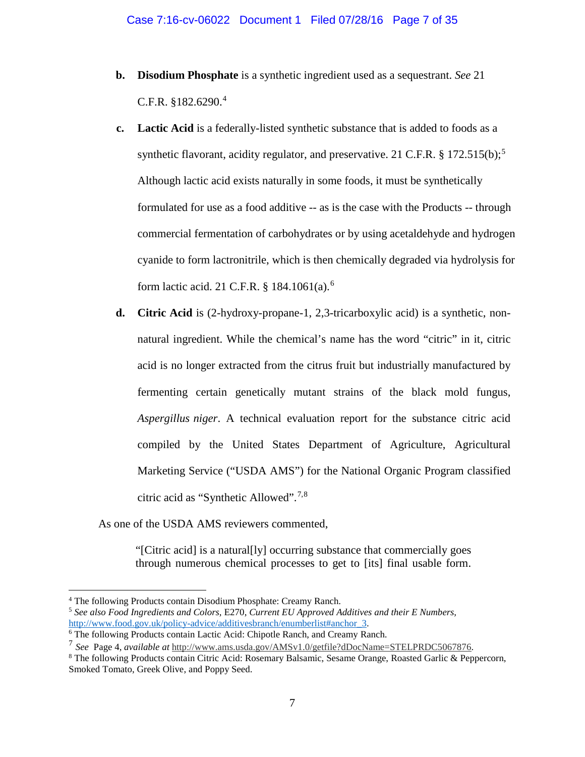- **b. Disodium Phosphate** is a synthetic ingredient used as a sequestrant. *See* 21 C.F.R.  $§182.6290.<sup>4</sup>$  $§182.6290.<sup>4</sup>$  $§182.6290.<sup>4</sup>$
- **c. Lactic Acid** is a federally-listed synthetic substance that is added to foods as a synthetic flavorant, acidity regulator, and preservative. 21 C.F.R. § 172.[5](#page-6-1)15(b);<sup>5</sup> Although lactic acid exists naturally in some foods, it must be synthetically formulated for use as a food additive -- as is the case with the Products -- through commercial fermentation of carbohydrates or by using acetaldehyde and hydrogen cyanide to form lactronitrile, which is then chemically degraded via hydrolysis for form lactic acid. 21 C.F.R.  $\S$  184.10[6](#page-6-2)1(a).<sup>6</sup>
- **d. Citric Acid** is (2-hydroxy-propane-1, 2,3-tricarboxylic acid) is a synthetic, nonnatural ingredient. While the chemical's name has the word "citric" in it, citric acid is no longer extracted from the citrus fruit but industrially manufactured by fermenting certain genetically mutant strains of the black mold fungus, *Aspergillus niger*. A technical evaluation report for the substance citric acid compiled by the United States Department of Agriculture, Agricultural Marketing Service ("USDA AMS") for the National Organic Program classified citric acid as "Synthetic Allowed".[7](#page-6-3),[8](#page-6-4)

As one of the USDA AMS reviewers commented,

"[Citric acid] is a natural[ly] occurring substance that commercially goes through numerous chemical processes to get to [its] final usable form.

<span id="page-6-1"></span><span id="page-6-0"></span><sup>4</sup> The following Products contain Disodium Phosphate: Creamy Ranch. 5 *See also Food Ingredients and Colors,* E270, *Current EU Approved Additives and their E Numbers,* http://www.food.gov.uk/policy-advice/additivesbranch/enumberlist#anchor 3.

<span id="page-6-2"></span><sup>6</sup> The following Products contain Lactic Acid: Chipotle Ranch, and Creamy Ranch.

<span id="page-6-3"></span><sup>7</sup> *See* Page 4, *available at* [http://www.ams.usda.gov/AMSv1.0/getfile?dDocName=STELPRDC5067876.](http://www.ams.usda.gov/AMSv1.0/getfile?dDocName=STELPRDC5067876)

<span id="page-6-4"></span><sup>&</sup>lt;sup>8</sup> The following Products contain Citric Acid: Rosemary Balsamic, Sesame Orange, Roasted Garlic & Peppercorn, Smoked Tomato, Greek Olive, and Poppy Seed.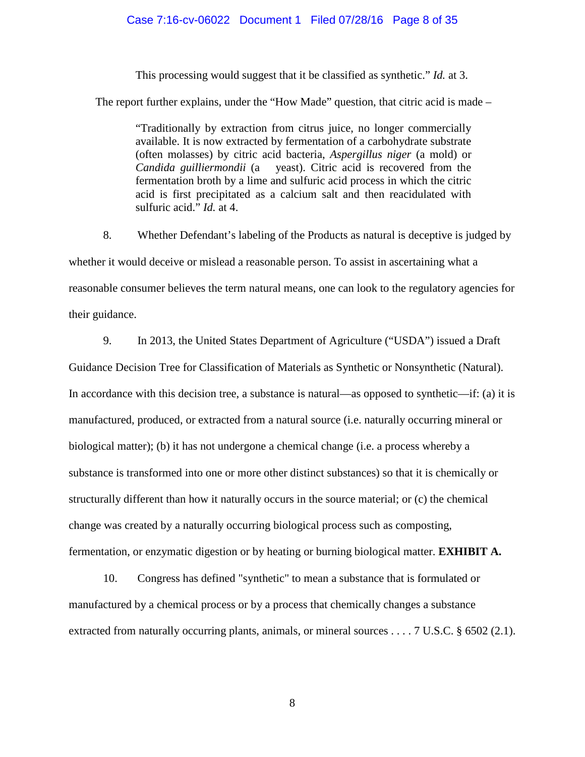#### Case 7:16-cv-06022 Document 1 Filed 07/28/16 Page 8 of 35

This processing would suggest that it be classified as synthetic." *Id.* at 3.

The report further explains, under the "How Made" question, that citric acid is made –

"Traditionally by extraction from citrus juice, no longer commercially available. It is now extracted by fermentation of a carbohydrate substrate (often molasses) by citric acid bacteria, *Aspergillus niger* (a mold) or *Candida guilliermondii* (a yeast). Citric acid is recovered from the fermentation broth by a lime and sulfuric acid process in which the citric acid is first precipitated as a calcium salt and then reacidulated with sulfuric acid." *Id.* at 4.

8. Whether Defendant's labeling of the Products as natural is deceptive is judged by whether it would deceive or mislead a reasonable person. To assist in ascertaining what a reasonable consumer believes the term natural means, one can look to the regulatory agencies for their guidance.

9. In 2013, the United States Department of Agriculture ("USDA") issued a Draft Guidance Decision Tree for Classification of Materials as Synthetic or Nonsynthetic (Natural). In accordance with this decision tree, a substance is natural—as opposed to synthetic—if: (a) it is manufactured, produced, or extracted from a natural source (i.e. naturally occurring mineral or biological matter); (b) it has not undergone a chemical change (i.e. a process whereby a substance is transformed into one or more other distinct substances) so that it is chemically or structurally different than how it naturally occurs in the source material; or (c) the chemical change was created by a naturally occurring biological process such as composting, fermentation, or enzymatic digestion or by heating or burning biological matter. **EXHIBIT A.**

10. Congress has defined "synthetic" to mean a substance that is formulated or manufactured by a chemical process or by a process that chemically changes a substance extracted from naturally occurring plants, animals, or mineral sources . . . . 7 U.S.C. § 6502 (2.1).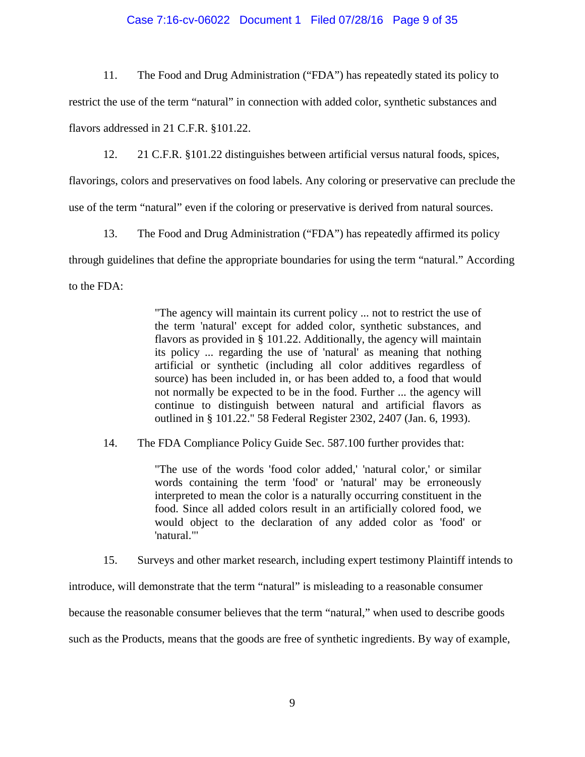#### Case 7:16-cv-06022 Document 1 Filed 07/28/16 Page 9 of 35

11. The Food and Drug Administration ("FDA") has repeatedly stated its policy to restrict the use of the term "natural" in connection with added color, synthetic substances and flavors addressed in 21 C.F.R. §101.22.

12. 21 C.F.R. §101.22 distinguishes between artificial versus natural foods, spices,

flavorings, colors and preservatives on food labels. Any coloring or preservative can preclude the use of the term "natural" even if the coloring or preservative is derived from natural sources.

13. The Food and Drug Administration ("FDA") has repeatedly affirmed its policy through guidelines that define the appropriate boundaries for using the term "natural." According to the FDA:

> "The agency will maintain its current policy ... not to restrict the use of the term 'natural' except for added color, synthetic substances, and flavors as provided in § 101.22. Additionally, the agency will maintain its policy ... regarding the use of 'natural' as meaning that nothing artificial or synthetic (including all color additives regardless of source) has been included in, or has been added to, a food that would not normally be expected to be in the food. Further ... the agency will continue to distinguish between natural and artificial flavors as outlined in § 101.22." 58 Federal Register 2302, 2407 (Jan. 6, 1993).

14. The FDA Compliance Policy Guide Sec. 587.100 further provides that:

"The use of the words 'food color added,' 'natural color,' or similar words containing the term 'food' or 'natural' may be erroneously interpreted to mean the color is a naturally occurring constituent in the food. Since all added colors result in an artificially colored food, we would object to the declaration of any added color as 'food' or 'natural."'

15. Surveys and other market research, including expert testimony Plaintiff intends to

introduce, will demonstrate that the term "natural" is misleading to a reasonable consumer because the reasonable consumer believes that the term "natural," when used to describe goods

such as the Products, means that the goods are free of synthetic ingredients. By way of example,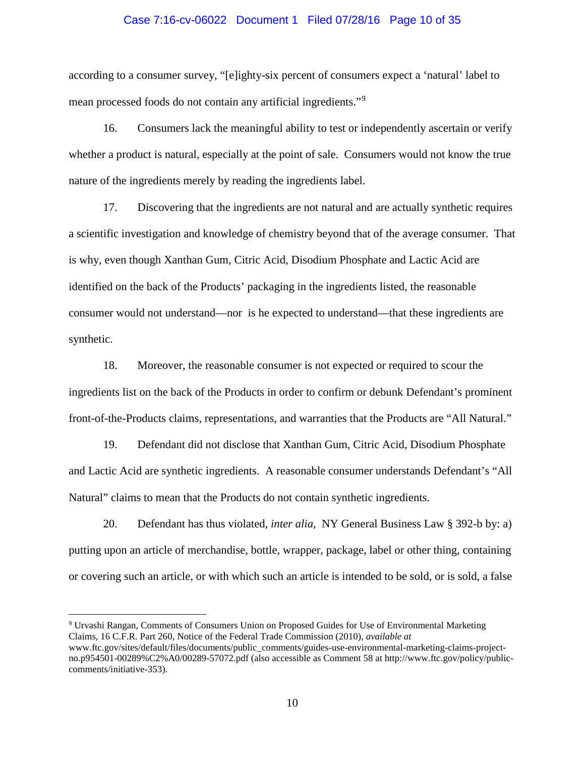#### Case 7:16-cv-06022 Document 1 Filed 07/28/16 Page 10 of 35

according to a consumer survey, "[e]ighty-six percent of consumers expect a 'natural' label to mean processed foods do not contain any artificial ingredients."[9](#page-9-0)

16. Consumers lack the meaningful ability to test or independently ascertain or verify whether a product is natural, especially at the point of sale. Consumers would not know the true nature of the ingredients merely by reading the ingredients label.

17. Discovering that the ingredients are not natural and are actually synthetic requires a scientific investigation and knowledge of chemistry beyond that of the average consumer. That is why, even though Xanthan Gum, Citric Acid, Disodium Phosphate and Lactic Acid are identified on the back of the Products' packaging in the ingredients listed, the reasonable consumer would not understand—nor is he expected to understand—that these ingredients are synthetic.

18. Moreover, the reasonable consumer is not expected or required to scour the ingredients list on the back of the Products in order to confirm or debunk Defendant's prominent front-of-the-Products claims, representations, and warranties that the Products are "All Natural."

19. Defendant did not disclose that Xanthan Gum, Citric Acid, Disodium Phosphate and Lactic Acid are synthetic ingredients. A reasonable consumer understands Defendant's "All Natural" claims to mean that the Products do not contain synthetic ingredients.

20. Defendant has thus violated, *inter alia*, NY General Business Law § 392-b by: a) putting upon an article of merchandise, bottle, wrapper, package, label or other thing, containing or covering such an article, or with which such an article is intended to be sold, or is sold, a false

<span id="page-9-0"></span> 9 Urvashi Rangan, Comments of Consumers Union on Proposed Guides for Use of Environmental Marketing Claims, 16 C.F.R. Part 260, Notice of the Federal Trade Commission (2010), *available at*  www.ftc.gov/sites/default/files/documents/public\_comments/guides-use-environmental-marketing-claims-project-

no.p954501-00289%C2%A0/00289-57072.pdf (also accessible as Comment 58 at http://www.ftc.gov/policy/publiccomments/initiative-353).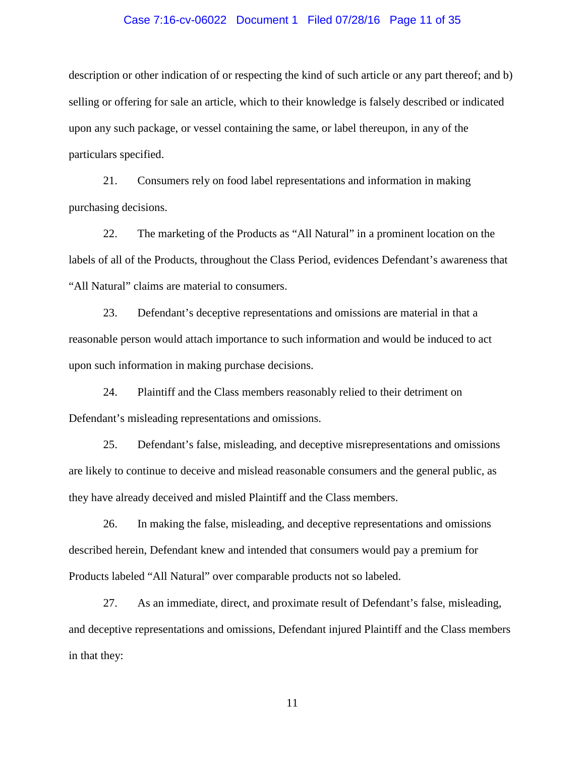#### Case 7:16-cv-06022 Document 1 Filed 07/28/16 Page 11 of 35

description or other indication of or respecting the kind of such article or any part thereof; and b) selling or offering for sale an article, which to their knowledge is falsely described or indicated upon any such package, or vessel containing the same, or label thereupon, in any of the particulars specified.

21. Consumers rely on food label representations and information in making purchasing decisions.

22. The marketing of the Products as "All Natural" in a prominent location on the labels of all of the Products, throughout the Class Period, evidences Defendant's awareness that "All Natural" claims are material to consumers.

23. Defendant's deceptive representations and omissions are material in that a reasonable person would attach importance to such information and would be induced to act upon such information in making purchase decisions.

24. Plaintiff and the Class members reasonably relied to their detriment on Defendant's misleading representations and omissions.

25. Defendant's false, misleading, and deceptive misrepresentations and omissions are likely to continue to deceive and mislead reasonable consumers and the general public, as they have already deceived and misled Plaintiff and the Class members.

26. In making the false, misleading, and deceptive representations and omissions described herein, Defendant knew and intended that consumers would pay a premium for Products labeled "All Natural" over comparable products not so labeled.

27. As an immediate, direct, and proximate result of Defendant's false, misleading, and deceptive representations and omissions, Defendant injured Plaintiff and the Class members in that they: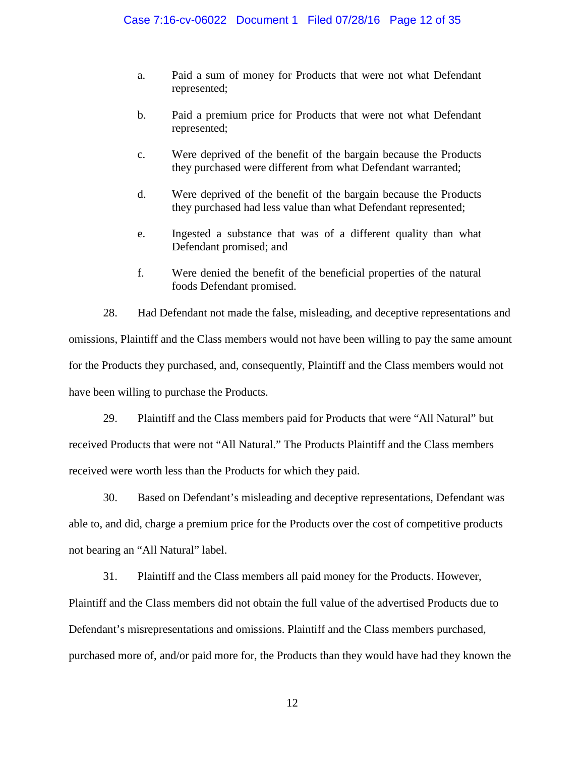- a. Paid a sum of money for Products that were not what Defendant represented;
- b. Paid a premium price for Products that were not what Defendant represented;
- c. Were deprived of the benefit of the bargain because the Products they purchased were different from what Defendant warranted;
- d. Were deprived of the benefit of the bargain because the Products they purchased had less value than what Defendant represented;
- e. Ingested a substance that was of a different quality than what Defendant promised; and
- f. Were denied the benefit of the beneficial properties of the natural foods Defendant promised.

28. Had Defendant not made the false, misleading, and deceptive representations and omissions, Plaintiff and the Class members would not have been willing to pay the same amount for the Products they purchased, and, consequently, Plaintiff and the Class members would not have been willing to purchase the Products.

29. Plaintiff and the Class members paid for Products that were "All Natural" but received Products that were not "All Natural." The Products Plaintiff and the Class members received were worth less than the Products for which they paid.

30. Based on Defendant's misleading and deceptive representations, Defendant was able to, and did, charge a premium price for the Products over the cost of competitive products not bearing an "All Natural" label.

31. Plaintiff and the Class members all paid money for the Products. However, Plaintiff and the Class members did not obtain the full value of the advertised Products due to Defendant's misrepresentations and omissions. Plaintiff and the Class members purchased, purchased more of, and/or paid more for, the Products than they would have had they known the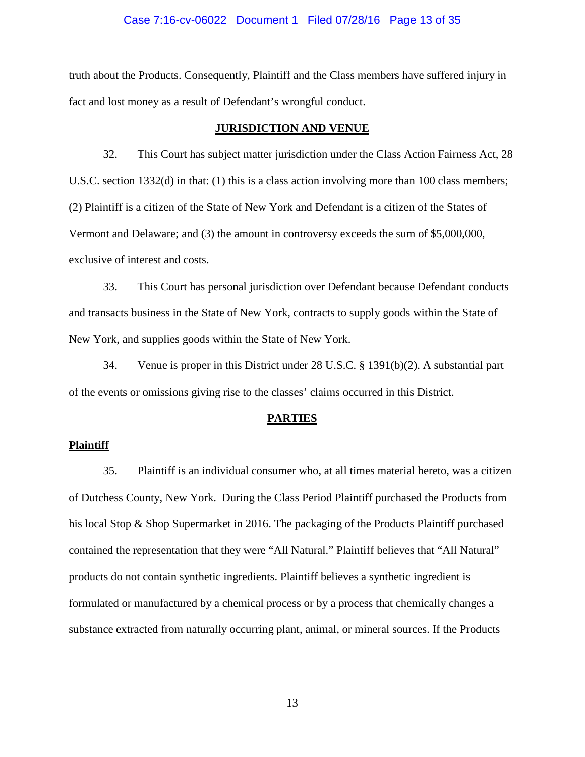#### Case 7:16-cv-06022 Document 1 Filed 07/28/16 Page 13 of 35

truth about the Products. Consequently, Plaintiff and the Class members have suffered injury in fact and lost money as a result of Defendant's wrongful conduct.

#### **JURISDICTION AND VENUE**

32. This Court has subject matter jurisdiction under the Class Action Fairness Act, 28 U.S.C. section 1332(d) in that: (1) this is a class action involving more than 100 class members; (2) Plaintiff is a citizen of the State of New York and Defendant is a citizen of the States of Vermont and Delaware; and (3) the amount in controversy exceeds the sum of \$5,000,000, exclusive of interest and costs.

33. This Court has personal jurisdiction over Defendant because Defendant conducts and transacts business in the State of New York, contracts to supply goods within the State of New York, and supplies goods within the State of New York.

34. Venue is proper in this District under 28 U.S.C. § 1391(b)(2). A substantial part of the events or omissions giving rise to the classes' claims occurred in this District.

#### **PARTIES**

#### **Plaintiff**

35. Plaintiff is an individual consumer who, at all times material hereto, was a citizen of Dutchess County, New York. During the Class Period Plaintiff purchased the Products from his local Stop & Shop Supermarket in 2016. The packaging of the Products Plaintiff purchased contained the representation that they were "All Natural." Plaintiff believes that "All Natural" products do not contain synthetic ingredients. Plaintiff believes a synthetic ingredient is formulated or manufactured by a chemical process or by a process that chemically changes a substance extracted from naturally occurring plant, animal, or mineral sources. If the Products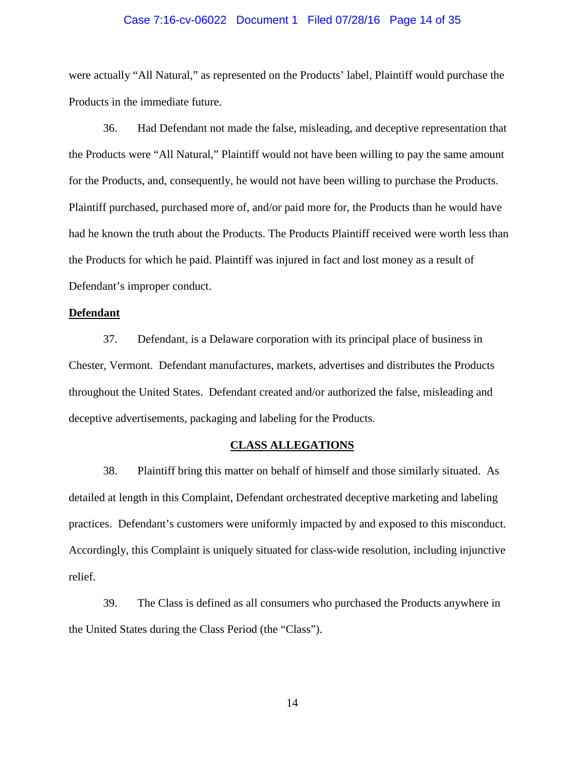#### Case 7:16-cv-06022 Document 1 Filed 07/28/16 Page 14 of 35

were actually "All Natural," as represented on the Products' label, Plaintiff would purchase the Products in the immediate future.

36. Had Defendant not made the false, misleading, and deceptive representation that the Products were "All Natural," Plaintiff would not have been willing to pay the same amount for the Products, and, consequently, he would not have been willing to purchase the Products. Plaintiff purchased, purchased more of, and/or paid more for, the Products than he would have had he known the truth about the Products. The Products Plaintiff received were worth less than the Products for which he paid. Plaintiff was injured in fact and lost money as a result of Defendant's improper conduct.

#### **Defendant**

37. Defendant, is a Delaware corporation with its principal place of business in Chester, Vermont. Defendant manufactures, markets, advertises and distributes the Products throughout the United States. Defendant created and/or authorized the false, misleading and deceptive advertisements, packaging and labeling for the Products.

#### **CLASS ALLEGATIONS**

38. Plaintiff bring this matter on behalf of himself and those similarly situated. As detailed at length in this Complaint, Defendant orchestrated deceptive marketing and labeling practices. Defendant's customers were uniformly impacted by and exposed to this misconduct. Accordingly, this Complaint is uniquely situated for class-wide resolution, including injunctive relief.

39. The Class is defined as all consumers who purchased the Products anywhere in the United States during the Class Period (the "Class").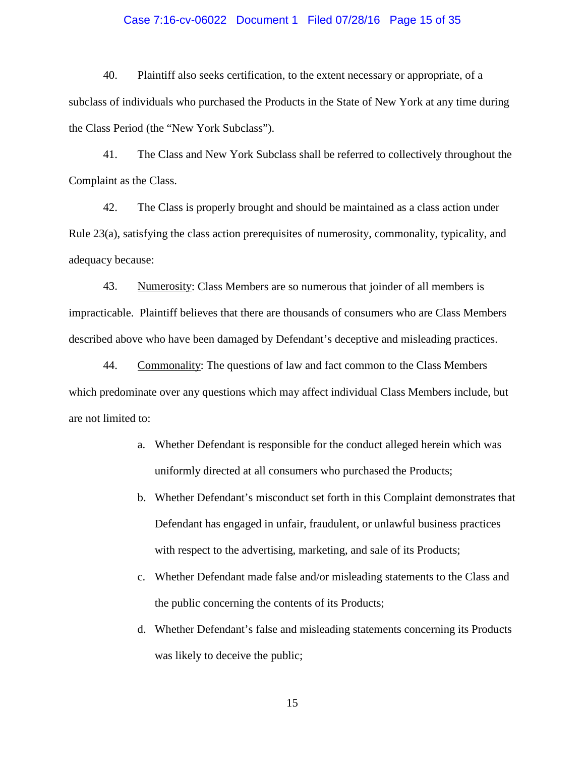#### Case 7:16-cv-06022 Document 1 Filed 07/28/16 Page 15 of 35

40. Plaintiff also seeks certification, to the extent necessary or appropriate, of a subclass of individuals who purchased the Products in the State of New York at any time during the Class Period (the "New York Subclass").

41. The Class and New York Subclass shall be referred to collectively throughout the Complaint as the Class.

42. The Class is properly brought and should be maintained as a class action under Rule 23(a), satisfying the class action prerequisites of numerosity, commonality, typicality, and adequacy because:

43. Numerosity: Class Members are so numerous that joinder of all members is impracticable. Plaintiff believes that there are thousands of consumers who are Class Members described above who have been damaged by Defendant's deceptive and misleading practices.

44. Commonality: The questions of law and fact common to the Class Members which predominate over any questions which may affect individual Class Members include, but are not limited to:

- a. Whether Defendant is responsible for the conduct alleged herein which was uniformly directed at all consumers who purchased the Products;
- b. Whether Defendant's misconduct set forth in this Complaint demonstrates that Defendant has engaged in unfair, fraudulent, or unlawful business practices with respect to the advertising, marketing, and sale of its Products;
- c. Whether Defendant made false and/or misleading statements to the Class and the public concerning the contents of its Products;
- d. Whether Defendant's false and misleading statements concerning its Products was likely to deceive the public;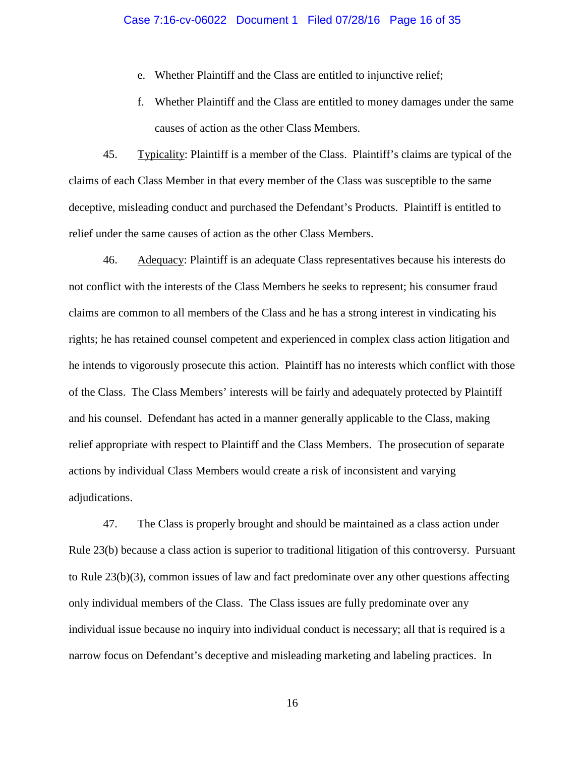#### Case 7:16-cv-06022 Document 1 Filed 07/28/16 Page 16 of 35

- e. Whether Plaintiff and the Class are entitled to injunctive relief;
- f. Whether Plaintiff and the Class are entitled to money damages under the same causes of action as the other Class Members.

45. Typicality: Plaintiff is a member of the Class. Plaintiff's claims are typical of the claims of each Class Member in that every member of the Class was susceptible to the same deceptive, misleading conduct and purchased the Defendant's Products. Plaintiff is entitled to relief under the same causes of action as the other Class Members.

46. Adequacy: Plaintiff is an adequate Class representatives because his interests do not conflict with the interests of the Class Members he seeks to represent; his consumer fraud claims are common to all members of the Class and he has a strong interest in vindicating his rights; he has retained counsel competent and experienced in complex class action litigation and he intends to vigorously prosecute this action. Plaintiff has no interests which conflict with those of the Class. The Class Members' interests will be fairly and adequately protected by Plaintiff and his counsel. Defendant has acted in a manner generally applicable to the Class, making relief appropriate with respect to Plaintiff and the Class Members. The prosecution of separate actions by individual Class Members would create a risk of inconsistent and varying adjudications.

47. The Class is properly brought and should be maintained as a class action under Rule 23(b) because a class action is superior to traditional litigation of this controversy. Pursuant to Rule 23(b)(3), common issues of law and fact predominate over any other questions affecting only individual members of the Class. The Class issues are fully predominate over any individual issue because no inquiry into individual conduct is necessary; all that is required is a narrow focus on Defendant's deceptive and misleading marketing and labeling practices. In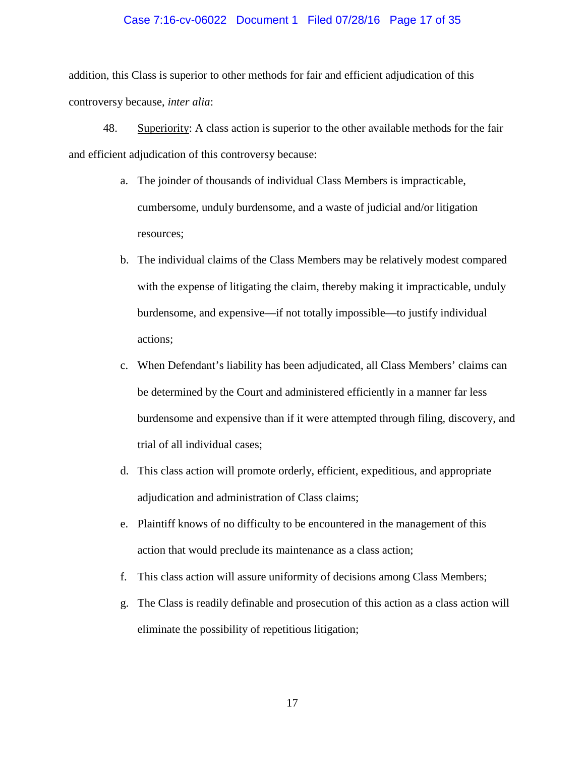#### Case 7:16-cv-06022 Document 1 Filed 07/28/16 Page 17 of 35

addition, this Class is superior to other methods for fair and efficient adjudication of this controversy because, *inter alia*:

48. Superiority: A class action is superior to the other available methods for the fair and efficient adjudication of this controversy because:

- a. The joinder of thousands of individual Class Members is impracticable, cumbersome, unduly burdensome, and a waste of judicial and/or litigation resources;
- b. The individual claims of the Class Members may be relatively modest compared with the expense of litigating the claim, thereby making it impracticable, unduly burdensome, and expensive—if not totally impossible—to justify individual actions;
- c. When Defendant's liability has been adjudicated, all Class Members' claims can be determined by the Court and administered efficiently in a manner far less burdensome and expensive than if it were attempted through filing, discovery, and trial of all individual cases;
- d. This class action will promote orderly, efficient, expeditious, and appropriate adjudication and administration of Class claims;
- e. Plaintiff knows of no difficulty to be encountered in the management of this action that would preclude its maintenance as a class action;
- f. This class action will assure uniformity of decisions among Class Members;
- g. The Class is readily definable and prosecution of this action as a class action will eliminate the possibility of repetitious litigation;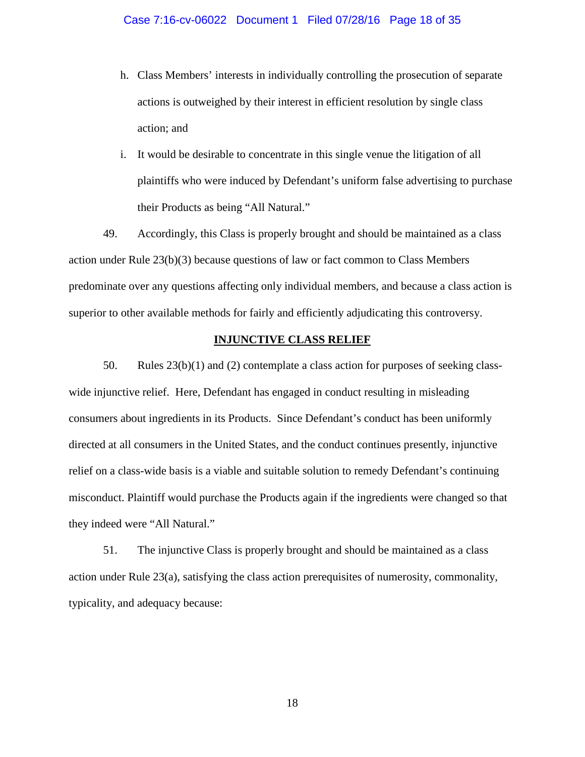- h. Class Members' interests in individually controlling the prosecution of separate actions is outweighed by their interest in efficient resolution by single class action; and
- i. It would be desirable to concentrate in this single venue the litigation of all plaintiffs who were induced by Defendant's uniform false advertising to purchase their Products as being "All Natural."

49. Accordingly, this Class is properly brought and should be maintained as a class action under Rule 23(b)(3) because questions of law or fact common to Class Members predominate over any questions affecting only individual members, and because a class action is superior to other available methods for fairly and efficiently adjudicating this controversy.

#### **INJUNCTIVE CLASS RELIEF**

50. Rules 23(b)(1) and (2) contemplate a class action for purposes of seeking classwide injunctive relief. Here, Defendant has engaged in conduct resulting in misleading consumers about ingredients in its Products. Since Defendant's conduct has been uniformly directed at all consumers in the United States, and the conduct continues presently, injunctive relief on a class-wide basis is a viable and suitable solution to remedy Defendant's continuing misconduct. Plaintiff would purchase the Products again if the ingredients were changed so that they indeed were "All Natural."

51. The injunctive Class is properly brought and should be maintained as a class action under Rule 23(a), satisfying the class action prerequisites of numerosity, commonality, typicality, and adequacy because: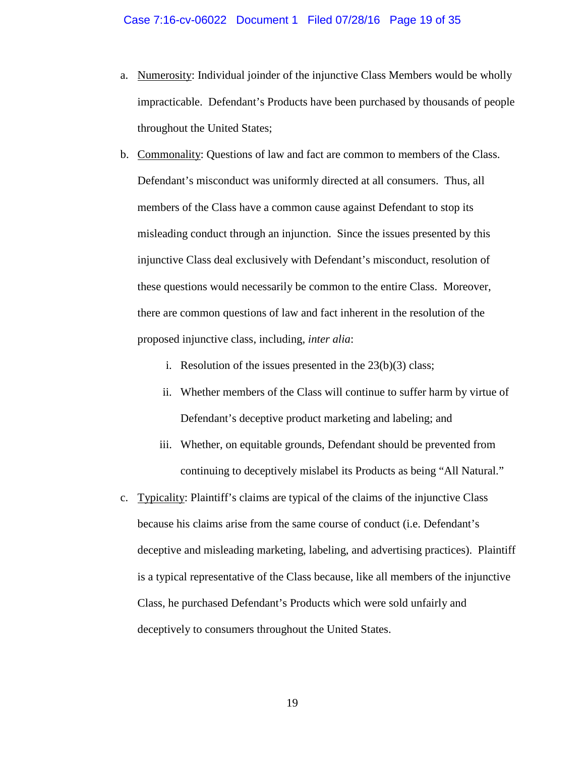#### Case 7:16-cv-06022 Document 1 Filed 07/28/16 Page 19 of 35

- a. Numerosity: Individual joinder of the injunctive Class Members would be wholly impracticable. Defendant's Products have been purchased by thousands of people throughout the United States;
- b. Commonality: Questions of law and fact are common to members of the Class. Defendant's misconduct was uniformly directed at all consumers. Thus, all members of the Class have a common cause against Defendant to stop its misleading conduct through an injunction. Since the issues presented by this injunctive Class deal exclusively with Defendant's misconduct, resolution of these questions would necessarily be common to the entire Class. Moreover, there are common questions of law and fact inherent in the resolution of the proposed injunctive class, including, *inter alia*:
	- i. Resolution of the issues presented in the  $23(b)(3)$  class;
	- ii. Whether members of the Class will continue to suffer harm by virtue of Defendant's deceptive product marketing and labeling; and
	- iii. Whether, on equitable grounds, Defendant should be prevented from continuing to deceptively mislabel its Products as being "All Natural."
- c. Typicality: Plaintiff's claims are typical of the claims of the injunctive Class because his claims arise from the same course of conduct (i.e. Defendant's deceptive and misleading marketing, labeling, and advertising practices). Plaintiff is a typical representative of the Class because, like all members of the injunctive Class, he purchased Defendant's Products which were sold unfairly and deceptively to consumers throughout the United States.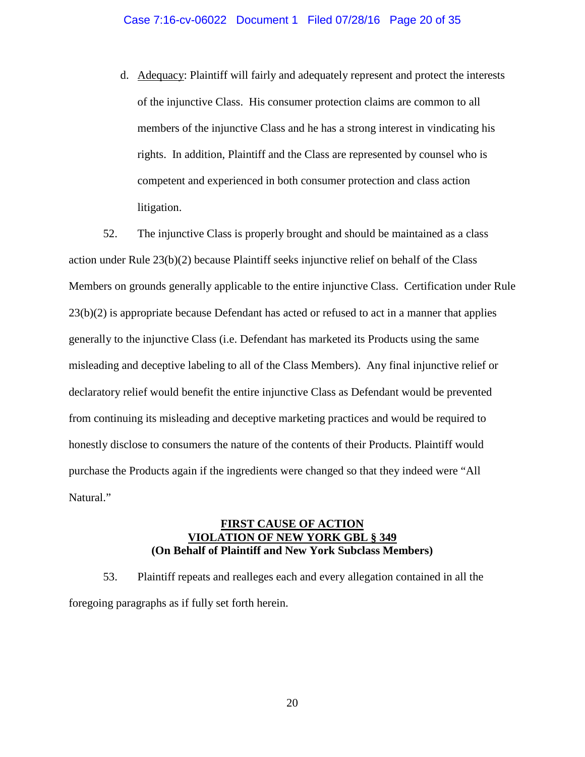d. Adequacy: Plaintiff will fairly and adequately represent and protect the interests of the injunctive Class. His consumer protection claims are common to all members of the injunctive Class and he has a strong interest in vindicating his rights. In addition, Plaintiff and the Class are represented by counsel who is competent and experienced in both consumer protection and class action litigation.

52. The injunctive Class is properly brought and should be maintained as a class action under Rule 23(b)(2) because Plaintiff seeks injunctive relief on behalf of the Class Members on grounds generally applicable to the entire injunctive Class. Certification under Rule 23(b)(2) is appropriate because Defendant has acted or refused to act in a manner that applies generally to the injunctive Class (i.e. Defendant has marketed its Products using the same misleading and deceptive labeling to all of the Class Members). Any final injunctive relief or declaratory relief would benefit the entire injunctive Class as Defendant would be prevented from continuing its misleading and deceptive marketing practices and would be required to honestly disclose to consumers the nature of the contents of their Products. Plaintiff would purchase the Products again if the ingredients were changed so that they indeed were "All Natural."

# **FIRST CAUSE OF ACTION VIOLATION OF NEW YORK GBL § 349 (On Behalf of Plaintiff and New York Subclass Members)**

53. Plaintiff repeats and realleges each and every allegation contained in all the foregoing paragraphs as if fully set forth herein.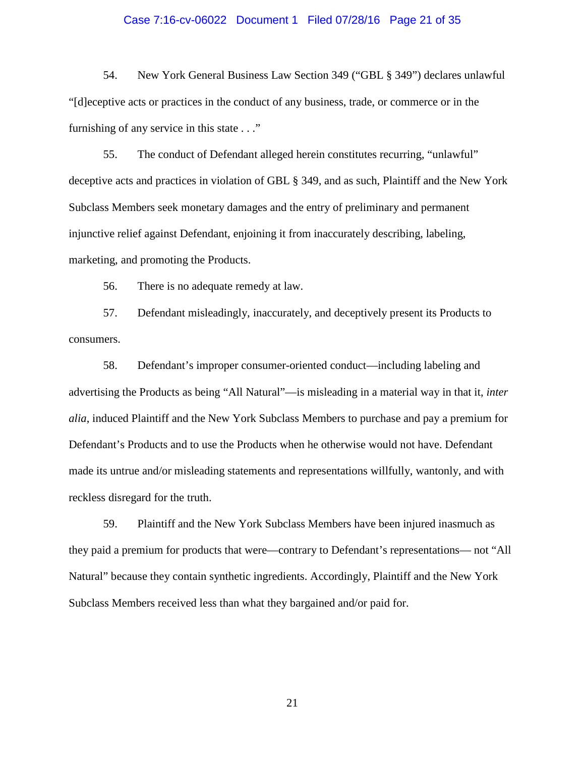#### Case 7:16-cv-06022 Document 1 Filed 07/28/16 Page 21 of 35

54. New York General Business Law Section 349 ("GBL § 349") declares unlawful "[d]eceptive acts or practices in the conduct of any business, trade, or commerce or in the furnishing of any service in this state . . ."

55. The conduct of Defendant alleged herein constitutes recurring, "unlawful" deceptive acts and practices in violation of GBL § 349, and as such, Plaintiff and the New York Subclass Members seek monetary damages and the entry of preliminary and permanent injunctive relief against Defendant, enjoining it from inaccurately describing, labeling, marketing, and promoting the Products.

56. There is no adequate remedy at law.

57. Defendant misleadingly, inaccurately, and deceptively present its Products to consumers.

58. Defendant's improper consumer-oriented conduct—including labeling and advertising the Products as being "All Natural"—is misleading in a material way in that it, *inter alia*, induced Plaintiff and the New York Subclass Members to purchase and pay a premium for Defendant's Products and to use the Products when he otherwise would not have. Defendant made its untrue and/or misleading statements and representations willfully, wantonly, and with reckless disregard for the truth.

59. Plaintiff and the New York Subclass Members have been injured inasmuch as they paid a premium for products that were—contrary to Defendant's representations— not "All Natural" because they contain synthetic ingredients. Accordingly, Plaintiff and the New York Subclass Members received less than what they bargained and/or paid for.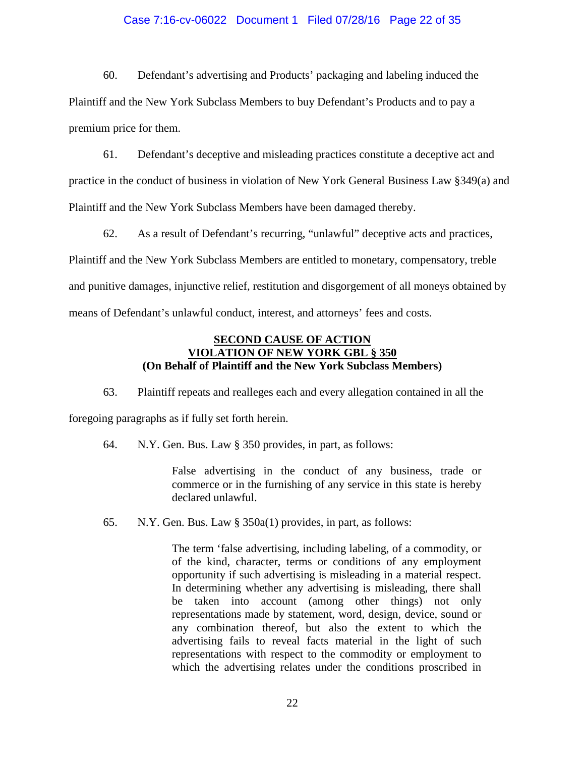## Case 7:16-cv-06022 Document 1 Filed 07/28/16 Page 22 of 35

60. Defendant's advertising and Products' packaging and labeling induced the Plaintiff and the New York Subclass Members to buy Defendant's Products and to pay a premium price for them.

61. Defendant's deceptive and misleading practices constitute a deceptive act and practice in the conduct of business in violation of New York General Business Law §349(a) and Plaintiff and the New York Subclass Members have been damaged thereby.

62. As a result of Defendant's recurring, "unlawful" deceptive acts and practices, Plaintiff and the New York Subclass Members are entitled to monetary, compensatory, treble and punitive damages, injunctive relief, restitution and disgorgement of all moneys obtained by means of Defendant's unlawful conduct, interest, and attorneys' fees and costs.

# **SECOND CAUSE OF ACTION VIOLATION OF NEW YORK GBL § 350 (On Behalf of Plaintiff and the New York Subclass Members)**

63. Plaintiff repeats and realleges each and every allegation contained in all the foregoing paragraphs as if fully set forth herein.

64. N.Y. Gen. Bus. Law § 350 provides, in part, as follows:

False advertising in the conduct of any business, trade or commerce or in the furnishing of any service in this state is hereby declared unlawful.

65. N.Y. Gen. Bus. Law § 350a(1) provides, in part, as follows:

The term 'false advertising, including labeling, of a commodity, or of the kind, character, terms or conditions of any employment opportunity if such advertising is misleading in a material respect. In determining whether any advertising is misleading, there shall be taken into account (among other things) not only representations made by statement, word, design, device, sound or any combination thereof, but also the extent to which the advertising fails to reveal facts material in the light of such representations with respect to the commodity or employment to which the advertising relates under the conditions proscribed in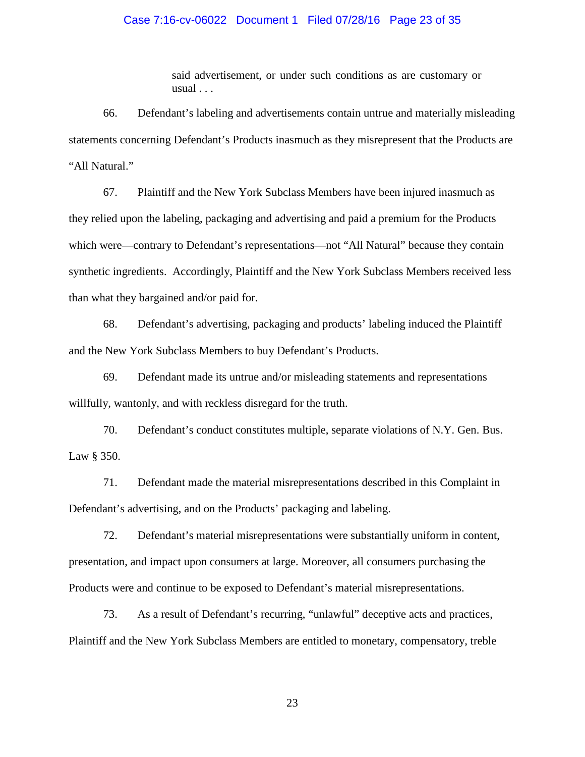#### Case 7:16-cv-06022 Document 1 Filed 07/28/16 Page 23 of 35

said advertisement, or under such conditions as are customary or usual . . .

66. Defendant's labeling and advertisements contain untrue and materially misleading statements concerning Defendant's Products inasmuch as they misrepresent that the Products are "All Natural."

67. Plaintiff and the New York Subclass Members have been injured inasmuch as they relied upon the labeling, packaging and advertising and paid a premium for the Products which were—contrary to Defendant's representations—not "All Natural" because they contain synthetic ingredients. Accordingly, Plaintiff and the New York Subclass Members received less than what they bargained and/or paid for.

68. Defendant's advertising, packaging and products' labeling induced the Plaintiff and the New York Subclass Members to buy Defendant's Products.

69. Defendant made its untrue and/or misleading statements and representations willfully, wantonly, and with reckless disregard for the truth.

70. Defendant's conduct constitutes multiple, separate violations of N.Y. Gen. Bus. Law § 350.

71. Defendant made the material misrepresentations described in this Complaint in Defendant's advertising, and on the Products' packaging and labeling.

72. Defendant's material misrepresentations were substantially uniform in content, presentation, and impact upon consumers at large. Moreover, all consumers purchasing the Products were and continue to be exposed to Defendant's material misrepresentations.

73. As a result of Defendant's recurring, "unlawful" deceptive acts and practices, Plaintiff and the New York Subclass Members are entitled to monetary, compensatory, treble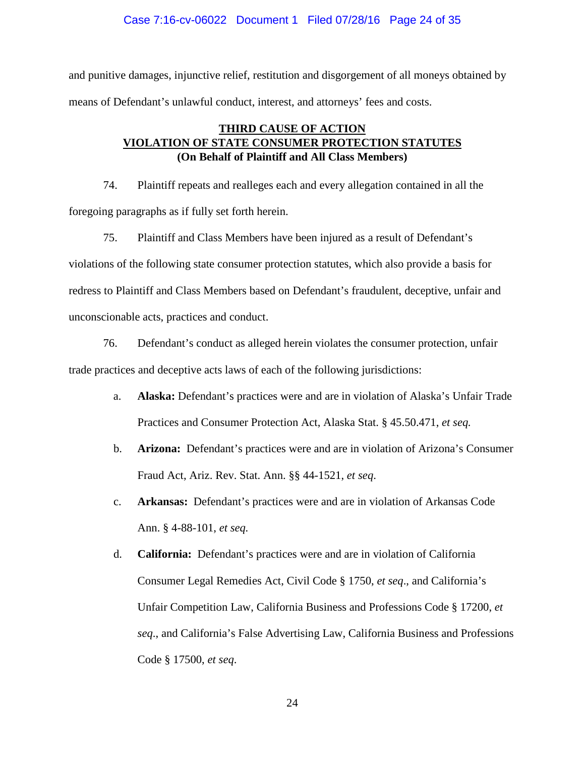## Case 7:16-cv-06022 Document 1 Filed 07/28/16 Page 24 of 35

and punitive damages, injunctive relief, restitution and disgorgement of all moneys obtained by means of Defendant's unlawful conduct, interest, and attorneys' fees and costs.

# **THIRD CAUSE OF ACTION VIOLATION OF STATE CONSUMER PROTECTION STATUTES (On Behalf of Plaintiff and All Class Members)**

74. Plaintiff repeats and realleges each and every allegation contained in all the foregoing paragraphs as if fully set forth herein.

75. Plaintiff and Class Members have been injured as a result of Defendant's violations of the following state consumer protection statutes, which also provide a basis for redress to Plaintiff and Class Members based on Defendant's fraudulent, deceptive, unfair and unconscionable acts, practices and conduct.

76. Defendant's conduct as alleged herein violates the consumer protection, unfair trade practices and deceptive acts laws of each of the following jurisdictions:

- a. **Alaska:** Defendant's practices were and are in violation of Alaska's Unfair Trade Practices and Consumer Protection Act, Alaska Stat. § 45.50.471, *et seq.*
- b. **Arizona:** Defendant's practices were and are in violation of Arizona's Consumer Fraud Act, Ariz. Rev. Stat. Ann. §§ 44-1521, *et seq*.
- c. **Arkansas:** Defendant's practices were and are in violation of Arkansas Code Ann. § 4-88-101, *et seq.*
- d. **California:** Defendant's practices were and are in violation of California Consumer Legal Remedies Act, Civil Code § 1750, *et seq*., and California's Unfair Competition Law, California Business and Professions Code § 17200, *et seq*., and California's False Advertising Law, California Business and Professions Code § 17500, *et seq*.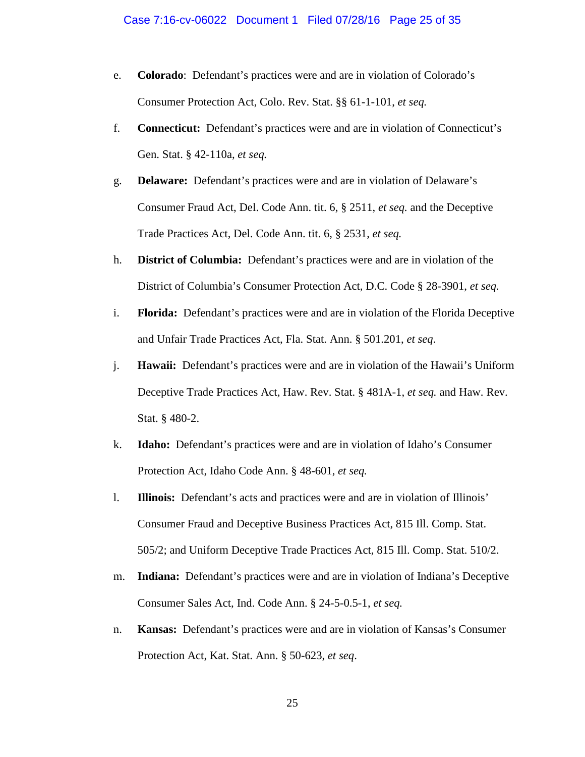- e. **Colorado**: Defendant's practices were and are in violation of Colorado's Consumer Protection Act, Colo. Rev. Stat. §§ 61-1-101, *et seq.*
- f. **Connecticut:** Defendant's practices were and are in violation of Connecticut's Gen. Stat. § 42-110a, *et seq.*
- g. **Delaware:** Defendant's practices were and are in violation of Delaware's Consumer Fraud Act, Del. Code Ann. tit. 6, § 2511, *et seq.* and the Deceptive Trade Practices Act, Del. Code Ann. tit. 6, § 2531, *et seq.*
- h. **District of Columbia:** Defendant's practices were and are in violation of the District of Columbia's Consumer Protection Act, D.C. Code § 28-3901, *et seq.*
- i. **Florida:** Defendant's practices were and are in violation of the Florida Deceptive and Unfair Trade Practices Act, Fla. Stat. Ann. § 501.201, *et seq*.
- j. **Hawaii:** Defendant's practices were and are in violation of the Hawaii's Uniform Deceptive Trade Practices Act, Haw. Rev. Stat. § 481A-1, *et seq.* and Haw. Rev. Stat. § 480-2.
- k. **Idaho:** Defendant's practices were and are in violation of Idaho's Consumer Protection Act, Idaho Code Ann. § 48-601, *et seq.*
- l. **Illinois:** Defendant's acts and practices were and are in violation of Illinois' Consumer Fraud and Deceptive Business Practices Act, 815 Ill. Comp. Stat. 505/2; and Uniform Deceptive Trade Practices Act, 815 Ill. Comp. Stat. 510/2.
- m. **Indiana:** Defendant's practices were and are in violation of Indiana's Deceptive Consumer Sales Act, Ind. Code Ann. § 24-5-0.5-1, *et seq.*
- n. **Kansas:** Defendant's practices were and are in violation of Kansas's Consumer Protection Act, Kat. Stat. Ann. § 50-623, *et seq*.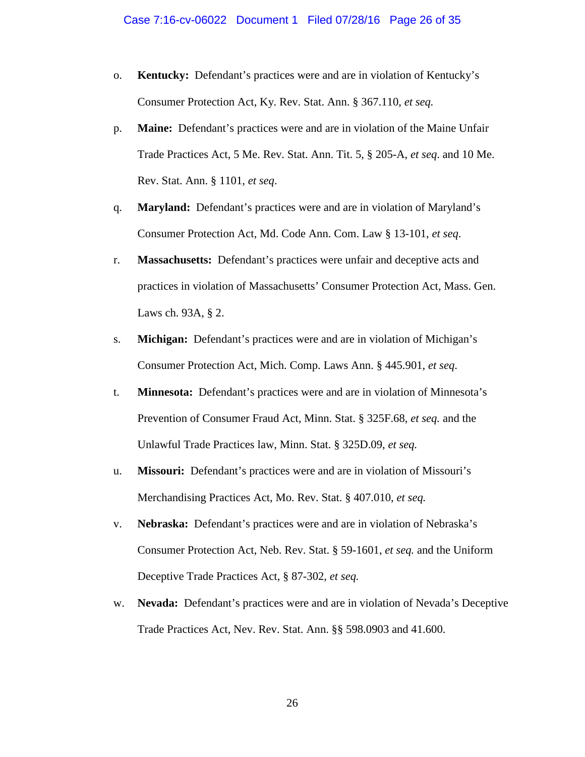- o. **Kentucky:** Defendant's practices were and are in violation of Kentucky's Consumer Protection Act, Ky. Rev. Stat. Ann. § 367.110, *et seq.*
- p. **Maine:** Defendant's practices were and are in violation of the Maine Unfair Trade Practices Act, 5 Me. Rev. Stat. Ann. Tit. 5, § 205-A, *et seq*. and 10 Me. Rev. Stat. Ann. § 1101, *et seq*.
- q. **Maryland:** Defendant's practices were and are in violation of Maryland's Consumer Protection Act, Md. Code Ann. Com. Law § 13-101, *et seq*.
- r. **Massachusetts:** Defendant's practices were unfair and deceptive acts and practices in violation of Massachusetts' Consumer Protection Act, Mass. Gen. Laws ch. 93A, § 2.
- s. **Michigan:** Defendant's practices were and are in violation of Michigan's Consumer Protection Act, Mich. Comp. Laws Ann. § 445.901, *et seq*.
- t. **Minnesota:** Defendant's practices were and are in violation of Minnesota's Prevention of Consumer Fraud Act, Minn. Stat. § 325F.68, *et seq.* and the Unlawful Trade Practices law, Minn. Stat. § 325D.09, *et seq.*
- u. **Missouri:** Defendant's practices were and are in violation of Missouri's Merchandising Practices Act, Mo. Rev. Stat. § 407.010, *et seq.*
- v. **Nebraska:** Defendant's practices were and are in violation of Nebraska's Consumer Protection Act, Neb. Rev. Stat. § 59-1601, *et seq.* and the Uniform Deceptive Trade Practices Act, § 87-302, *et seq.*
- w. **Nevada:** Defendant's practices were and are in violation of Nevada's Deceptive Trade Practices Act, Nev. Rev. Stat. Ann. §§ 598.0903 and 41.600.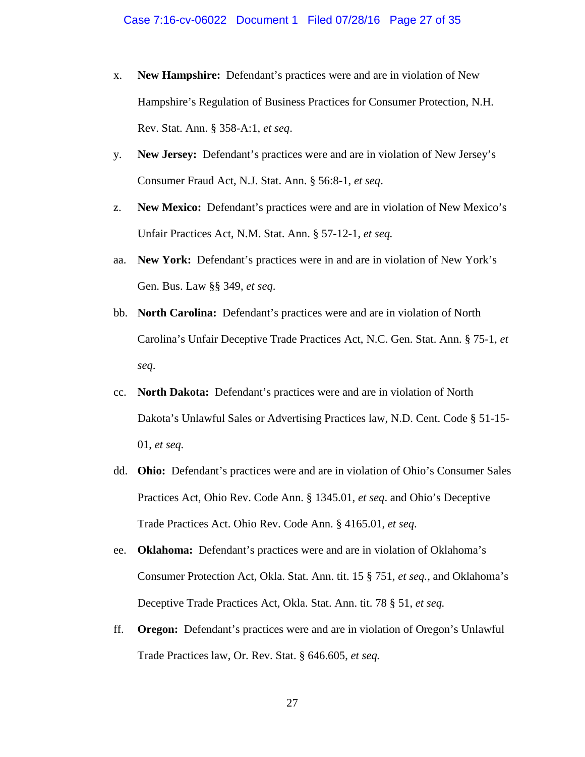- x. **New Hampshire:** Defendant's practices were and are in violation of New Hampshire's Regulation of Business Practices for Consumer Protection, N.H. Rev. Stat. Ann. § 358-A:1, *et seq*.
- y. **New Jersey:** Defendant's practices were and are in violation of New Jersey's Consumer Fraud Act, N.J. Stat. Ann. § 56:8-1, *et seq*.
- z. **New Mexico:** Defendant's practices were and are in violation of New Mexico's Unfair Practices Act, N.M. Stat. Ann. § 57-12-1, *et seq.*
- aa. **New York:** Defendant's practices were in and are in violation of New York's Gen. Bus. Law §§ 349, *et seq*.
- bb. **North Carolina:** Defendant's practices were and are in violation of North Carolina's Unfair Deceptive Trade Practices Act, N.C. Gen. Stat. Ann. § 75-1, *et seq*.
- cc. **North Dakota:** Defendant's practices were and are in violation of North Dakota's Unlawful Sales or Advertising Practices law, N.D. Cent. Code § 51-15- 01, *et seq.*
- dd. **Ohio:** Defendant's practices were and are in violation of Ohio's Consumer Sales Practices Act, Ohio Rev. Code Ann. § 1345.01, *et seq*. and Ohio's Deceptive Trade Practices Act. Ohio Rev. Code Ann. § 4165.01, *et seq*.
- ee. **Oklahoma:** Defendant's practices were and are in violation of Oklahoma's Consumer Protection Act, Okla. Stat. Ann. tit. 15 § 751, *et seq.*, and Oklahoma's Deceptive Trade Practices Act, Okla. Stat. Ann. tit. 78 § 51, *et seq.*
- ff. **Oregon:** Defendant's practices were and are in violation of Oregon's Unlawful Trade Practices law, Or. Rev. Stat. § 646.605, *et seq.*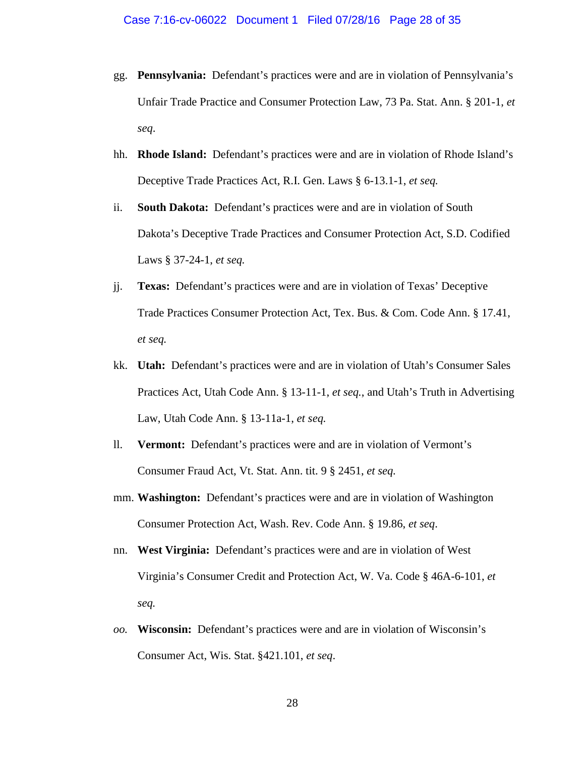- gg. **Pennsylvania:** Defendant's practices were and are in violation of Pennsylvania's Unfair Trade Practice and Consumer Protection Law, 73 Pa. Stat. Ann. § 201-1, *et seq*.
- hh. **Rhode Island:** Defendant's practices were and are in violation of Rhode Island's Deceptive Trade Practices Act, R.I. Gen. Laws § 6-13.1-1, *et seq.*
- ii. **South Dakota:** Defendant's practices were and are in violation of South Dakota's Deceptive Trade Practices and Consumer Protection Act, S.D. Codified Laws § 37-24-1, *et seq.*
- jj. **Texas:** Defendant's practices were and are in violation of Texas' Deceptive Trade Practices Consumer Protection Act, Tex. Bus. & Com. Code Ann. § 17.41, *et seq.*
- kk. **Utah:** Defendant's practices were and are in violation of Utah's Consumer Sales Practices Act, Utah Code Ann. § 13-11-1, *et seq.*, and Utah's Truth in Advertising Law, Utah Code Ann. § 13-11a-1, *et seq.*
- ll. **Vermont:** Defendant's practices were and are in violation of Vermont's Consumer Fraud Act, Vt. Stat. Ann. tit. 9 § 2451, *et seq.*
- mm. **Washington:** Defendant's practices were and are in violation of Washington Consumer Protection Act, Wash. Rev. Code Ann. § 19.86, *et seq*.
- nn. **West Virginia:** Defendant's practices were and are in violation of West Virginia's Consumer Credit and Protection Act, W. Va. Code § 46A-6-101, *et seq.*
- *oo.* **Wisconsin:** Defendant's practices were and are in violation of Wisconsin's Consumer Act, Wis. Stat. §421.101, *et seq*.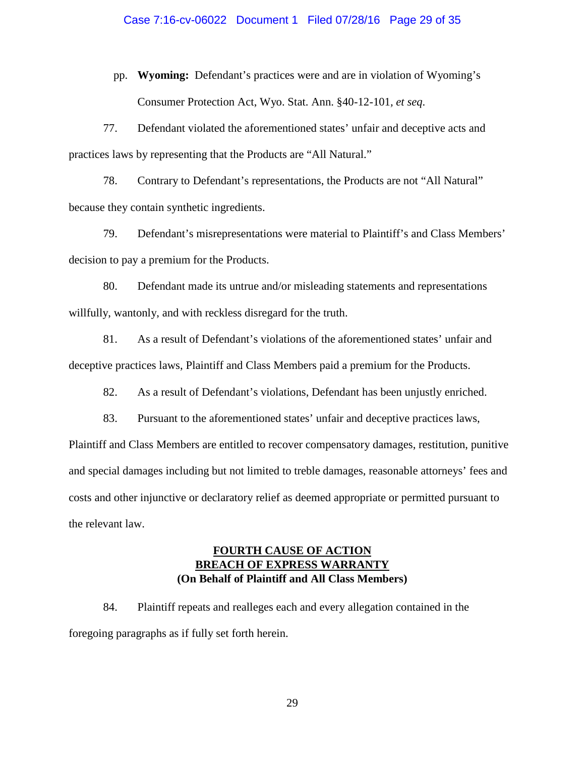pp. **Wyoming:** Defendant's practices were and are in violation of Wyoming's Consumer Protection Act, Wyo. Stat. Ann. §40-12-101*, et seq*.

77. Defendant violated the aforementioned states' unfair and deceptive acts and practices laws by representing that the Products are "All Natural."

78. Contrary to Defendant's representations, the Products are not "All Natural" because they contain synthetic ingredients.

79. Defendant's misrepresentations were material to Plaintiff's and Class Members' decision to pay a premium for the Products.

80. Defendant made its untrue and/or misleading statements and representations willfully, wantonly, and with reckless disregard for the truth.

81. As a result of Defendant's violations of the aforementioned states' unfair and deceptive practices laws, Plaintiff and Class Members paid a premium for the Products.

82. As a result of Defendant's violations, Defendant has been unjustly enriched.

83. Pursuant to the aforementioned states' unfair and deceptive practices laws, Plaintiff and Class Members are entitled to recover compensatory damages, restitution, punitive and special damages including but not limited to treble damages, reasonable attorneys' fees and costs and other injunctive or declaratory relief as deemed appropriate or permitted pursuant to the relevant law.

# **FOURTH CAUSE OF ACTION BREACH OF EXPRESS WARRANTY (On Behalf of Plaintiff and All Class Members)**

84. Plaintiff repeats and realleges each and every allegation contained in the foregoing paragraphs as if fully set forth herein.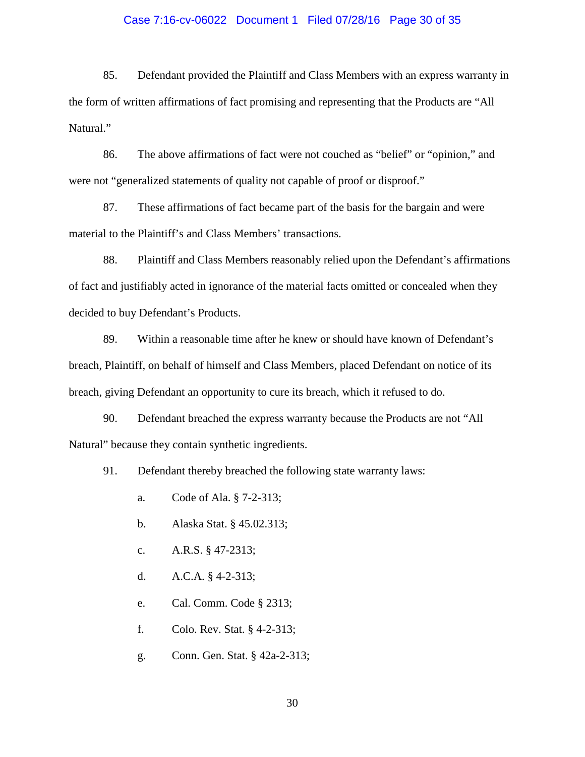#### Case 7:16-cv-06022 Document 1 Filed 07/28/16 Page 30 of 35

85. Defendant provided the Plaintiff and Class Members with an express warranty in the form of written affirmations of fact promising and representing that the Products are "All Natural."

86. The above affirmations of fact were not couched as "belief" or "opinion," and were not "generalized statements of quality not capable of proof or disproof."

87. These affirmations of fact became part of the basis for the bargain and were material to the Plaintiff's and Class Members' transactions.

88. Plaintiff and Class Members reasonably relied upon the Defendant's affirmations of fact and justifiably acted in ignorance of the material facts omitted or concealed when they decided to buy Defendant's Products.

89. Within a reasonable time after he knew or should have known of Defendant's breach, Plaintiff, on behalf of himself and Class Members, placed Defendant on notice of its breach, giving Defendant an opportunity to cure its breach, which it refused to do.

90. Defendant breached the express warranty because the Products are not "All Natural" because they contain synthetic ingredients.

91. Defendant thereby breached the following state warranty laws:

- a. Code of Ala. § 7-2-313;
- b. Alaska Stat. § 45.02.313;
- c. A.R.S. § 47-2313;
- d. A.C.A.  $§$  4-2-313;
- e. Cal. Comm. Code § 2313;
- f. Colo. Rev. Stat. § 4-2-313;
- g. Conn. Gen. Stat. § 42a-2-313;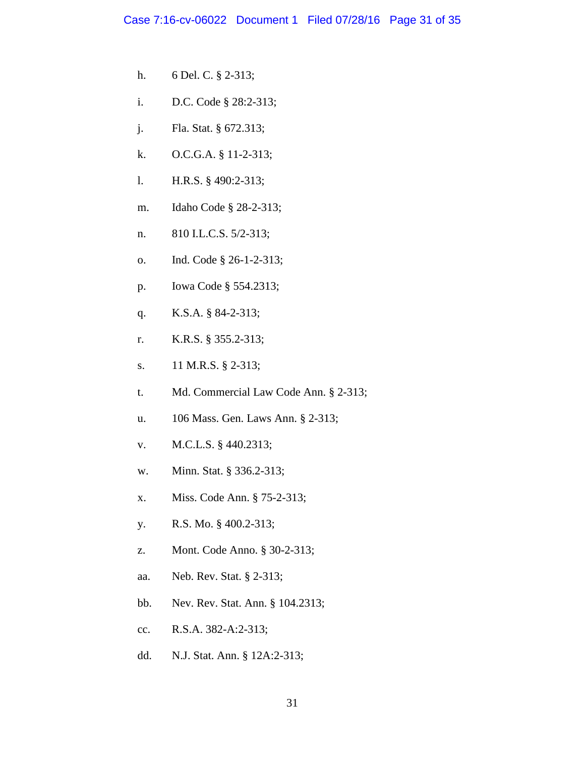- h. 6 Del. C. § 2-313;
- i. D.C. Code § 28:2-313;
- j. Fla. Stat. § 672.313;
- k. O.C.G.A. § 11-2-313;
- l. H.R.S. § 490:2-313;
- m. Idaho Code § 28-2-313;
- n. 810 I.L.C.S. 5/2-313;
- o. Ind. Code § 26-1-2-313;
- p. Iowa Code § 554.2313;
- q. K.S.A. § 84-2-313;
- r. K.R.S. § 355.2-313;
- s. 11 M.R.S. § 2-313;
- t. Md. Commercial Law Code Ann. § 2-313;
- u. 106 Mass. Gen. Laws Ann. § 2-313;
- v. M.C.L.S. § 440.2313;
- w. Minn. Stat. § 336.2-313;
- x. Miss. Code Ann. § 75-2-313;
- y. R.S. Mo. § 400.2-313;
- z. Mont. Code Anno. § 30-2-313;
- aa. Neb. Rev. Stat. § 2-313;
- bb. Nev. Rev. Stat. Ann. § 104.2313;
- cc. R.S.A. 382-A:2-313;
- dd. N.J. Stat. Ann. § 12A:2-313;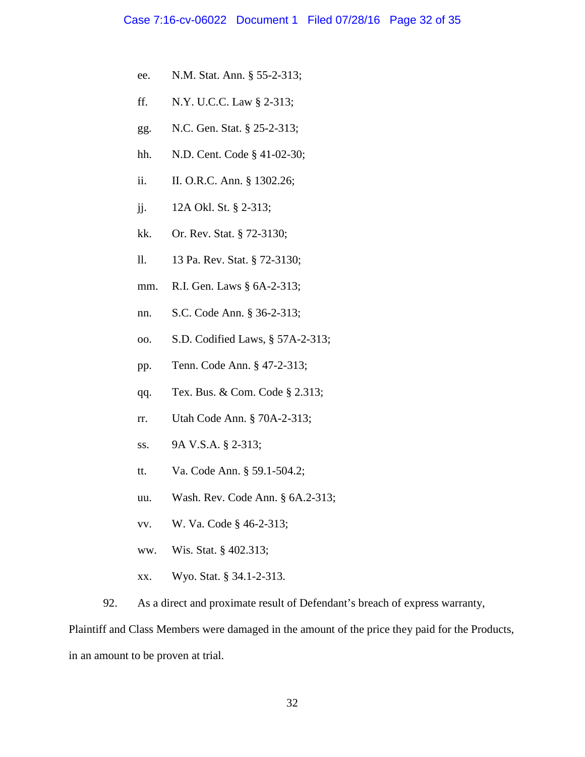- ee. N.M. Stat. Ann. § 55-2-313;
- ff. N.Y. U.C.C. Law § 2-313;
- gg. N.C. Gen. Stat. § 25-2-313;
- hh. N.D. Cent. Code § 41-02-30;
- ii. II. O.R.C. Ann. § 1302.26;
- jj. 12A Okl. St. § 2-313;
- kk. Or. Rev. Stat. § 72-3130;
- ll. 13 Pa. Rev. Stat. § 72-3130;
- mm. R.I. Gen. Laws § 6A-2-313;
- nn. S.C. Code Ann. § 36-2-313;
- oo. S.D. Codified Laws, § 57A-2-313;
- pp. Tenn. Code Ann. § 47-2-313;
- qq. Tex. Bus. & Com. Code § 2.313;
- rr. Utah Code Ann. § 70A-2-313;
- ss. 9A V.S.A. § 2-313;
- tt. Va. Code Ann. § 59.1-504.2;
- uu. Wash. Rev. Code Ann. § 6A.2-313;
- vv. W. Va. Code § 46-2-313;
- ww. Wis. Stat. § 402.313;
- xx. Wyo. Stat. § 34.1-2-313.

92. As a direct and proximate result of Defendant's breach of express warranty,

Plaintiff and Class Members were damaged in the amount of the price they paid for the Products, in an amount to be proven at trial.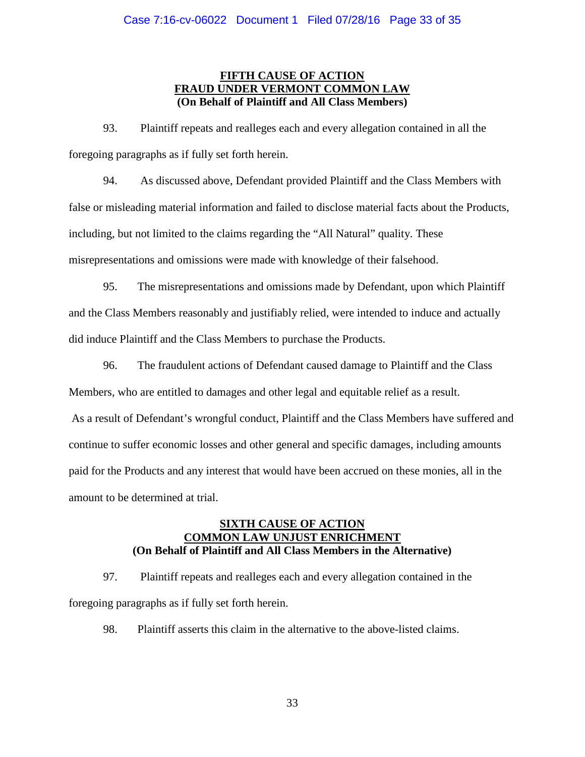# **FIFTH CAUSE OF ACTION FRAUD UNDER VERMONT COMMON LAW (On Behalf of Plaintiff and All Class Members)**

93. Plaintiff repeats and realleges each and every allegation contained in all the foregoing paragraphs as if fully set forth herein.

94. As discussed above, Defendant provided Plaintiff and the Class Members with false or misleading material information and failed to disclose material facts about the Products, including, but not limited to the claims regarding the "All Natural" quality. These misrepresentations and omissions were made with knowledge of their falsehood.

95. The misrepresentations and omissions made by Defendant, upon which Plaintiff and the Class Members reasonably and justifiably relied, were intended to induce and actually did induce Plaintiff and the Class Members to purchase the Products.

96. The fraudulent actions of Defendant caused damage to Plaintiff and the Class

Members, who are entitled to damages and other legal and equitable relief as a result.

As a result of Defendant's wrongful conduct, Plaintiff and the Class Members have suffered and continue to suffer economic losses and other general and specific damages, including amounts paid for the Products and any interest that would have been accrued on these monies, all in the amount to be determined at trial.

## **SIXTH CAUSE OF ACTION COMMON LAW UNJUST ENRICHMENT (On Behalf of Plaintiff and All Class Members in the Alternative)**

97. Plaintiff repeats and realleges each and every allegation contained in the foregoing paragraphs as if fully set forth herein.

98. Plaintiff asserts this claim in the alternative to the above-listed claims.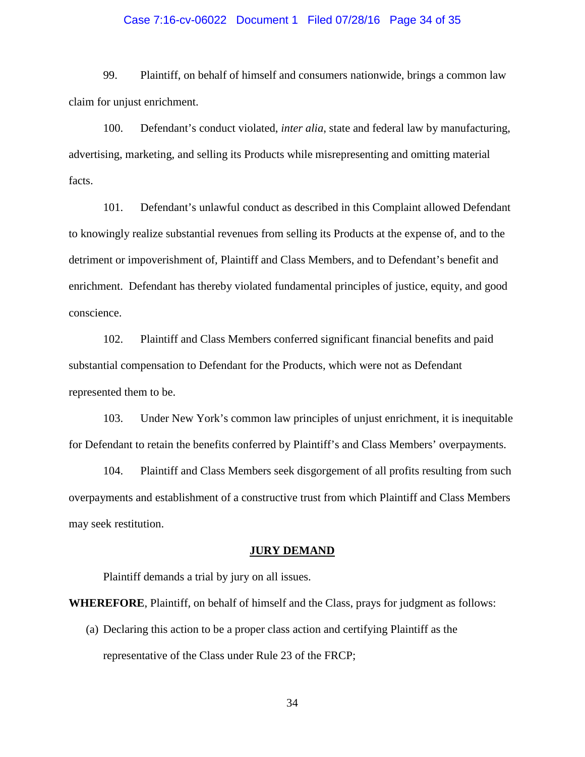#### Case 7:16-cv-06022 Document 1 Filed 07/28/16 Page 34 of 35

99. Plaintiff, on behalf of himself and consumers nationwide, brings a common law claim for unjust enrichment.

100. Defendant's conduct violated, *inter alia*, state and federal law by manufacturing, advertising, marketing, and selling its Products while misrepresenting and omitting material facts.

101. Defendant's unlawful conduct as described in this Complaint allowed Defendant to knowingly realize substantial revenues from selling its Products at the expense of, and to the detriment or impoverishment of, Plaintiff and Class Members, and to Defendant's benefit and enrichment. Defendant has thereby violated fundamental principles of justice, equity, and good conscience.

102. Plaintiff and Class Members conferred significant financial benefits and paid substantial compensation to Defendant for the Products, which were not as Defendant represented them to be.

103. Under New York's common law principles of unjust enrichment, it is inequitable for Defendant to retain the benefits conferred by Plaintiff's and Class Members' overpayments.

104. Plaintiff and Class Members seek disgorgement of all profits resulting from such overpayments and establishment of a constructive trust from which Plaintiff and Class Members may seek restitution.

### **JURY DEMAND**

Plaintiff demands a trial by jury on all issues.

**WHEREFORE**, Plaintiff, on behalf of himself and the Class, prays for judgment as follows:

(a) Declaring this action to be a proper class action and certifying Plaintiff as the representative of the Class under Rule 23 of the FRCP;